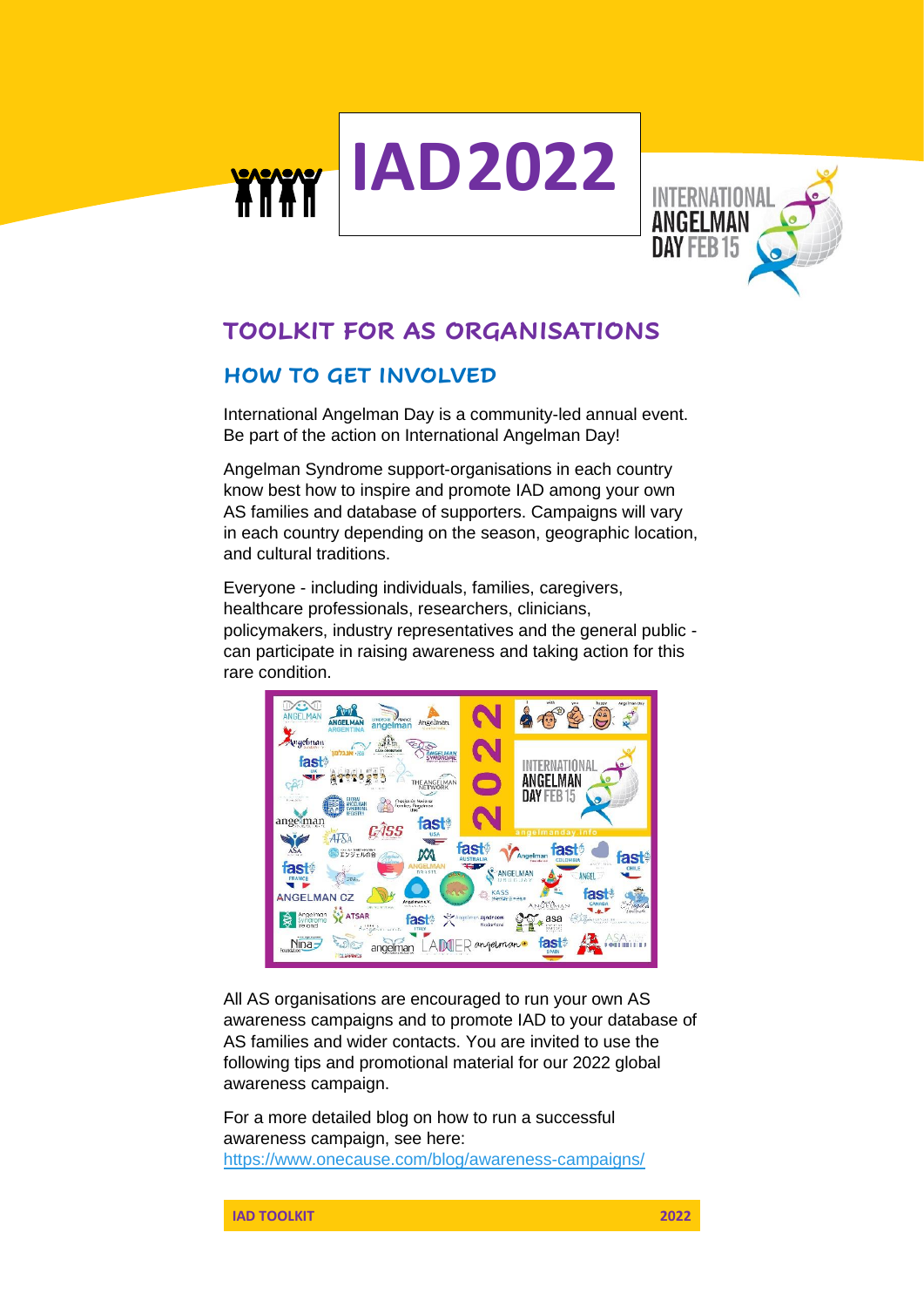



# **TOOLKIT FOR AS ORGANISATIONS**

# **HOW TO GET INVOLVED**

International Angelman Day is a community-led annual event. Be part of the action on International Angelman Day!

Angelman Syndrome support-organisations in each country know best how to inspire and promote IAD among your own AS families and database of supporters. Campaigns will vary in each country depending on the season, geographic location, and cultural traditions.

Everyone - including individuals, families, caregivers, healthcare professionals, researchers, clinicians, policymakers, industry representatives and the general public can participate in raising awareness and taking action for this rare condition.



All AS organisations are encouraged to run your own AS awareness campaigns and to promote IAD to your database of AS families and wider contacts. You are invited to use the following tips and promotional material for our 2022 global awareness campaign.

For a more detailed blog on how to run a successful awareness campaign, see here: <https://www.onecause.com/blog/awareness-campaigns/>

**IAD TOOLKIT 2022**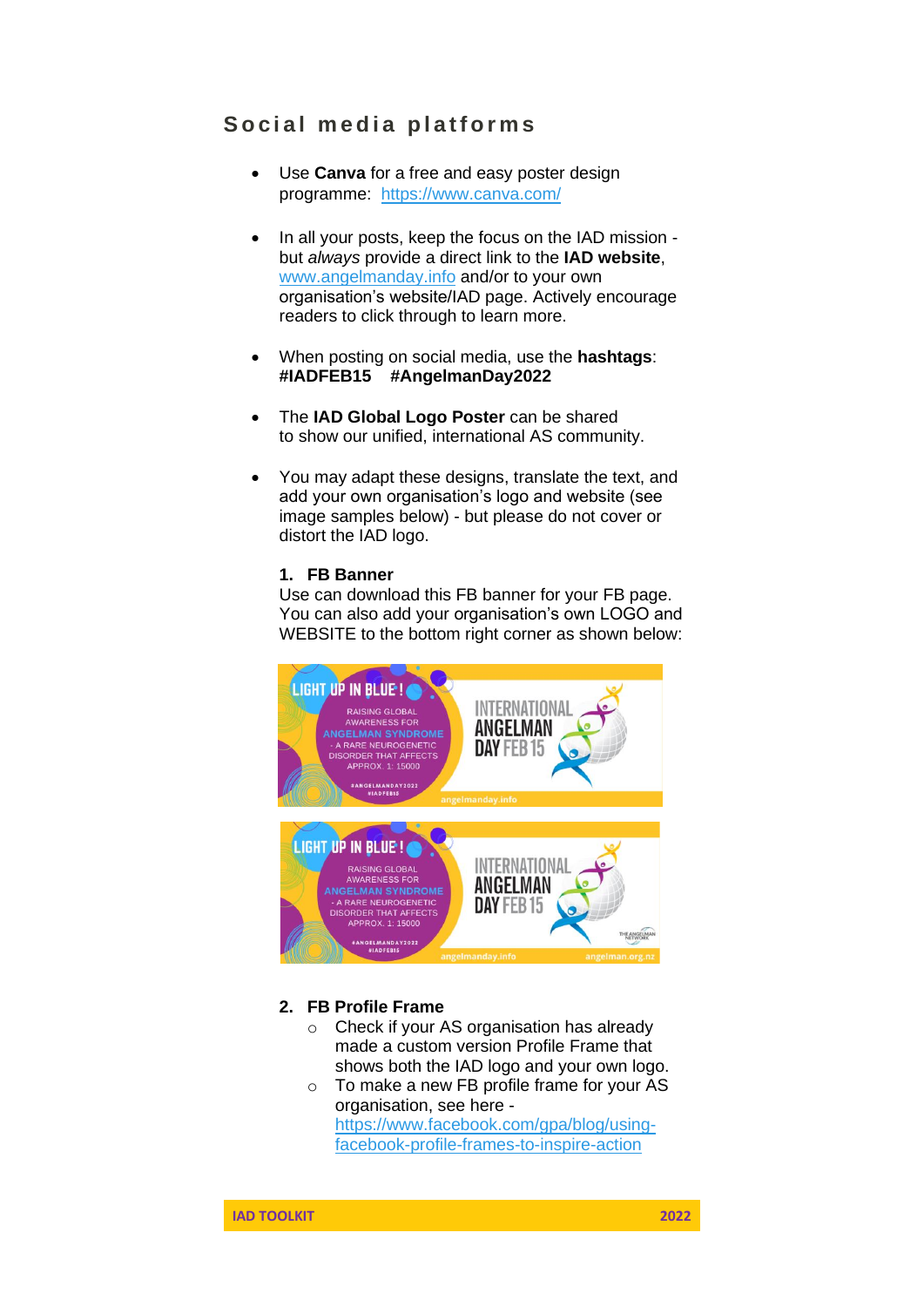# Social media platforms

- Use **Canva** for a free and easy poster design programme: <https://www.canva.com/>
- In all your posts, keep the focus on the IAD mission but *always* provide a direct link to the **IAD website**, [www.angelmanday.info](http://www.angelmanday.info/) and/or to your own organisation's website/IAD page. Actively encourage readers to click through to learn more.
- When posting on social media, use the **hashtags**: **#IADFEB15 #AngelmanDay2022**
- The **IAD Global Logo Poster** can be shared to show our unified, international AS community.
- You may adapt these designs, translate the text, and add your own organisation's logo and website (see image samples below) - but please do not cover or distort the IAD logo.

#### **1. FB Banner**

Use can download this FB banner for your FB page. You can also add your organisation's own LOGO and WEBSITE to the bottom right corner as shown below:



### **2. FB Profile Frame**

- o Check if your AS organisation has already made a custom version Profile Frame that shows both the IAD logo and your own logo.
- o To make a new FB profile frame for your AS organisation, see here [https://www.facebook.com/gpa/blog/using](https://www.facebook.com/gpa/blog/using-facebook-profile-frames-to-inspire-action)[facebook-profile-frames-to-inspire-action](https://www.facebook.com/gpa/blog/using-facebook-profile-frames-to-inspire-action)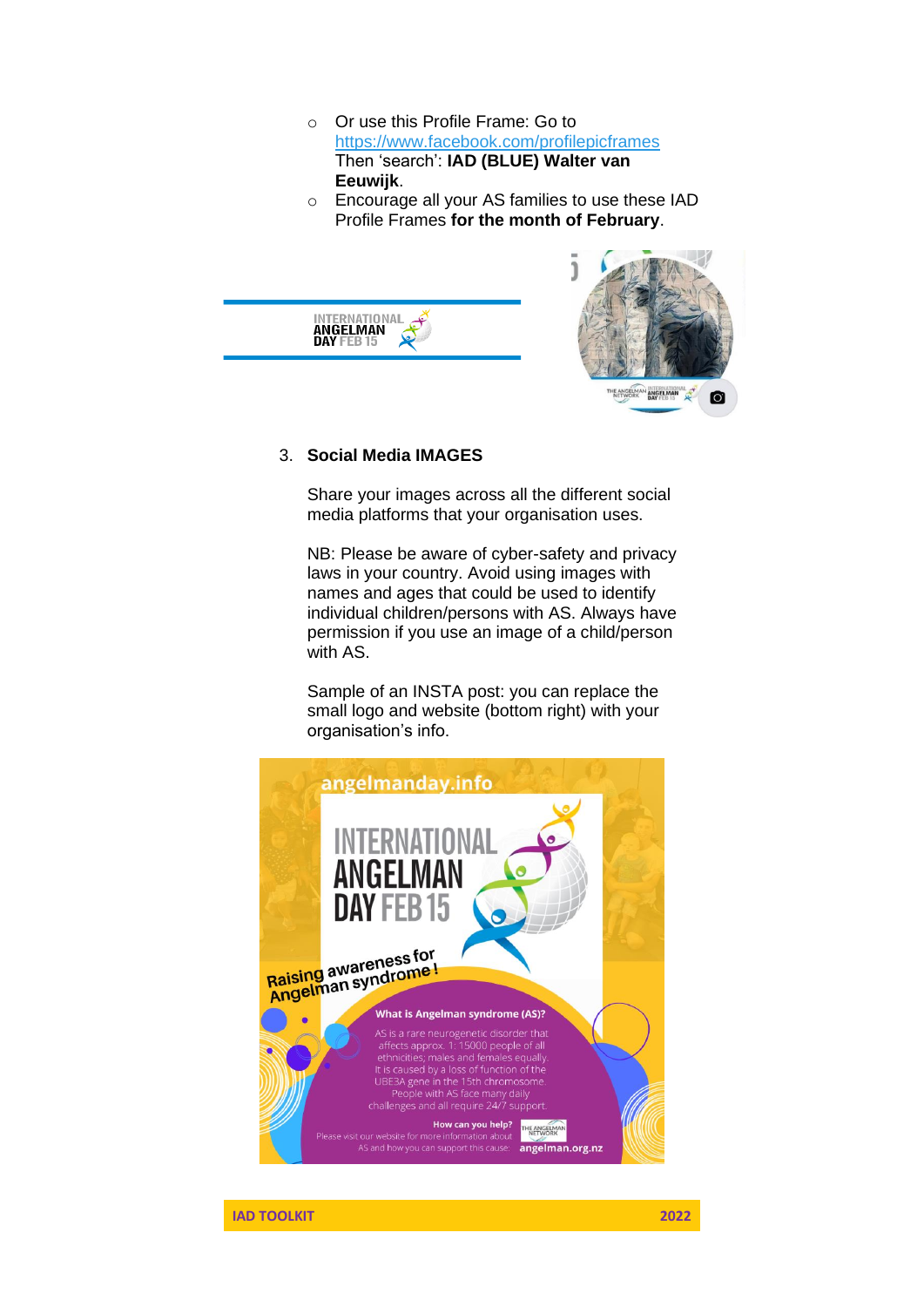- o Or use this Profile Frame: Go to <https://www.facebook.com/profilepicframes> Then 'search': **IAD (BLUE) Walter van Eeuwijk**.
- o Encourage all your AS families to use these IAD Profile Frames **for the month of February**.



#### 3. **Social Media IMAGES**

Share your images across all the different social media platforms that your organisation uses.

NB: Please be aware of cyber-safety and privacy laws in your country. Avoid using images with names and ages that could be used to identify individual children/persons with AS. Always have permission if you use an image of a child/person with AS.

Sample of an INSTA post: you can replace the small logo and website (bottom right) with your organisation's info.